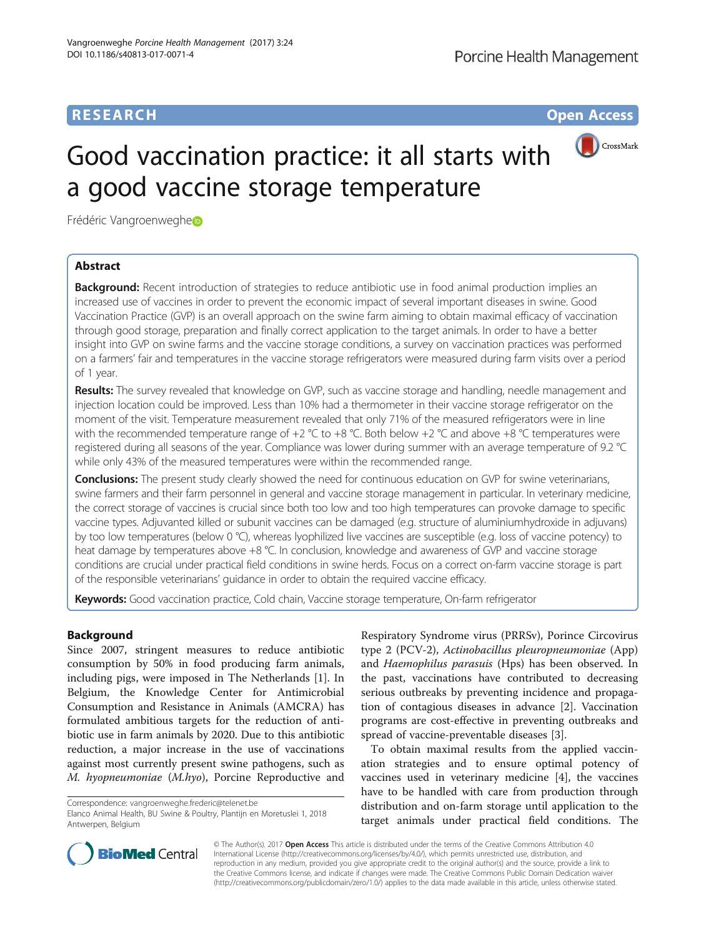# **RESEARCH CHE Open Access**



# Good vaccination practice: it all starts with a good vaccine storage temperature

Frédéric Vangroenwegh[e](http://orcid.org/0000-0003-0569-9503)

# Abstract

**Background:** Recent introduction of strategies to reduce antibiotic use in food animal production implies an increased use of vaccines in order to prevent the economic impact of several important diseases in swine. Good Vaccination Practice (GVP) is an overall approach on the swine farm aiming to obtain maximal efficacy of vaccination through good storage, preparation and finally correct application to the target animals. In order to have a better insight into GVP on swine farms and the vaccine storage conditions, a survey on vaccination practices was performed on a farmers' fair and temperatures in the vaccine storage refrigerators were measured during farm visits over a period of 1 year.

Results: The survey revealed that knowledge on GVP, such as vaccine storage and handling, needle management and injection location could be improved. Less than 10% had a thermometer in their vaccine storage refrigerator on the moment of the visit. Temperature measurement revealed that only 71% of the measured refrigerators were in line with the recommended temperature range of  $+2$  °C to  $+8$  °C. Both below  $+2$  °C and above  $+8$  °C temperatures were registered during all seasons of the year. Compliance was lower during summer with an average temperature of 9.2 °C while only 43% of the measured temperatures were within the recommended range.

**Conclusions:** The present study clearly showed the need for continuous education on GVP for swine veterinarians, swine farmers and their farm personnel in general and vaccine storage management in particular. In veterinary medicine, the correct storage of vaccines is crucial since both too low and too high temperatures can provoke damage to specific vaccine types. Adjuvanted killed or subunit vaccines can be damaged (e.g. structure of aluminiumhydroxide in adjuvans) by too low temperatures (below 0 °C), whereas lyophilized live vaccines are susceptible (e.g. loss of vaccine potency) to heat damage by temperatures above +8 °C. In conclusion, knowledge and awareness of GVP and vaccine storage conditions are crucial under practical field conditions in swine herds. Focus on a correct on-farm vaccine storage is part of the responsible veterinarians' guidance in order to obtain the required vaccine efficacy.

Keywords: Good vaccination practice, Cold chain, Vaccine storage temperature, On-farm refrigerator

# Background

Since 2007, stringent measures to reduce antibiotic consumption by 50% in food producing farm animals, including pigs, were imposed in The Netherlands [\[1](#page-5-0)]. In Belgium, the Knowledge Center for Antimicrobial Consumption and Resistance in Animals (AMCRA) has formulated ambitious targets for the reduction of antibiotic use in farm animals by 2020. Due to this antibiotic reduction, a major increase in the use of vaccinations against most currently present swine pathogens, such as M. hyopneumoniae (M.hyo), Porcine Reproductive and

Correspondence: [vangroenweghe.frederic@telenet.be](mailto:vangroenweghe.frederic@telenet.be)

Respiratory Syndrome virus (PRRSv), Porince Circovirus type 2 (PCV-2), Actinobacillus pleuropneumoniae (App) and Haemophilus parasuis (Hps) has been observed. In the past, vaccinations have contributed to decreasing serious outbreaks by preventing incidence and propagation of contagious diseases in advance [[2\]](#page-5-0). Vaccination programs are cost-effective in preventing outbreaks and spread of vaccine-preventable diseases [\[3\]](#page-5-0).

To obtain maximal results from the applied vaccination strategies and to ensure optimal potency of vaccines used in veterinary medicine [\[4](#page-5-0)], the vaccines have to be handled with care from production through distribution and on-farm storage until application to the target animals under practical field conditions. The



© The Author(s). 2017 **Open Access** This article is distributed under the terms of the Creative Commons Attribution 4.0 International License [\(http://creativecommons.org/licenses/by/4.0/](http://creativecommons.org/licenses/by/4.0/)), which permits unrestricted use, distribution, and reproduction in any medium, provided you give appropriate credit to the original author(s) and the source, provide a link to the Creative Commons license, and indicate if changes were made. The Creative Commons Public Domain Dedication waiver [\(http://creativecommons.org/publicdomain/zero/1.0/](http://creativecommons.org/publicdomain/zero/1.0/)) applies to the data made available in this article, unless otherwise stated.

Elanco Animal Health, BU Swine & Poultry, Plantijn en Moretuslei 1, 2018 Antwerpen, Belgium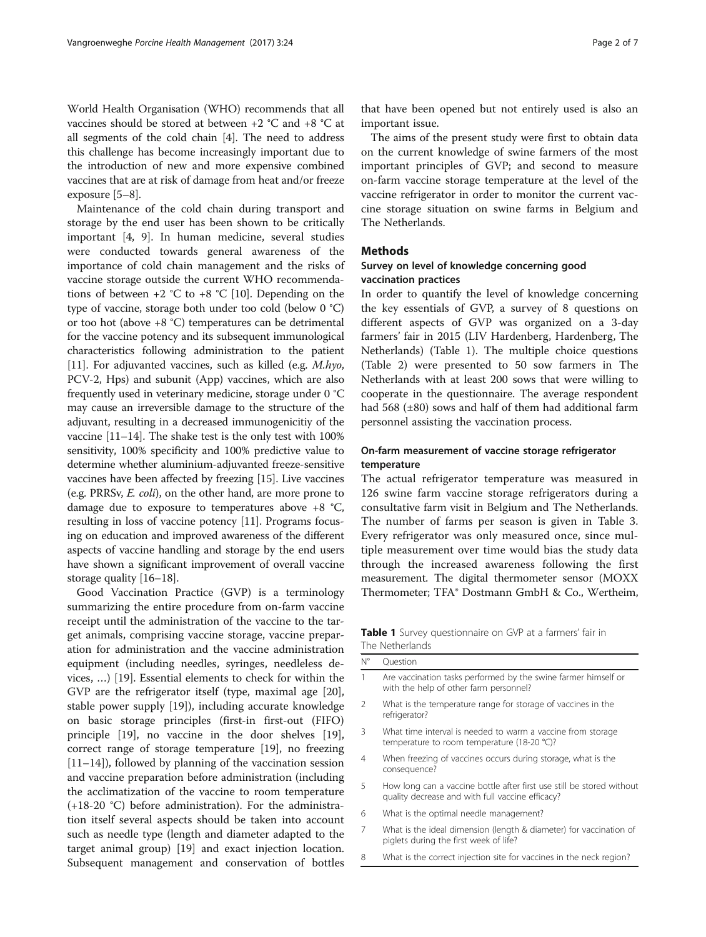World Health Organisation (WHO) recommends that all vaccines should be stored at between +2 °C and +8 °C at all segments of the cold chain [[4](#page-5-0)]. The need to address this challenge has become increasingly important due to the introduction of new and more expensive combined vaccines that are at risk of damage from heat and/or freeze exposure [\[5](#page-6-0)–[8\]](#page-6-0).

Maintenance of the cold chain during transport and storage by the end user has been shown to be critically important [\[4](#page-5-0), [9](#page-6-0)]. In human medicine, several studies were conducted towards general awareness of the importance of cold chain management and the risks of vaccine storage outside the current WHO recommendations of between  $+2$  °C to  $+8$  °C [\[10\]](#page-6-0). Depending on the type of vaccine, storage both under too cold (below 0 °C) or too hot (above +8 °C) temperatures can be detrimental for the vaccine potency and its subsequent immunological characteristics following administration to the patient [[11](#page-6-0)]. For adjuvanted vaccines, such as killed (e.g. *M.hyo*, PCV-2, Hps) and subunit (App) vaccines, which are also frequently used in veterinary medicine, storage under 0 °C may cause an irreversible damage to the structure of the adjuvant, resulting in a decreased immunogenicitiy of the vaccine [\[11](#page-6-0)–[14](#page-6-0)]. The shake test is the only test with 100% sensitivity, 100% specificity and 100% predictive value to determine whether aluminium-adjuvanted freeze-sensitive vaccines have been affected by freezing [[15](#page-6-0)]. Live vaccines (e.g. PRRSv, E. coli), on the other hand, are more prone to damage due to exposure to temperatures above +8 °C, resulting in loss of vaccine potency [\[11\]](#page-6-0). Programs focusing on education and improved awareness of the different aspects of vaccine handling and storage by the end users have shown a significant improvement of overall vaccine storage quality [[16](#page-6-0)–[18\]](#page-6-0).

Good Vaccination Practice (GVP) is a terminology summarizing the entire procedure from on-farm vaccine receipt until the administration of the vaccine to the target animals, comprising vaccine storage, vaccine preparation for administration and the vaccine administration equipment (including needles, syringes, needleless devices, …) [[19](#page-6-0)]. Essential elements to check for within the GVP are the refrigerator itself (type, maximal age [\[20](#page-6-0)], stable power supply [[19\]](#page-6-0)), including accurate knowledge on basic storage principles (first-in first-out (FIFO) principle [\[19](#page-6-0)], no vaccine in the door shelves [\[19](#page-6-0)], correct range of storage temperature [[19\]](#page-6-0), no freezing  $[11–14]$  $[11–14]$  $[11–14]$  $[11–14]$  $[11–14]$ , followed by planning of the vaccination session and vaccine preparation before administration (including the acclimatization of the vaccine to room temperature (+18-20 °C) before administration). For the administration itself several aspects should be taken into account such as needle type (length and diameter adapted to the target animal group) [\[19\]](#page-6-0) and exact injection location. Subsequent management and conservation of bottles

that have been opened but not entirely used is also an important issue.

The aims of the present study were first to obtain data on the current knowledge of swine farmers of the most important principles of GVP; and second to measure on-farm vaccine storage temperature at the level of the vaccine refrigerator in order to monitor the current vaccine storage situation on swine farms in Belgium and The Netherlands.

# Methods

# Survey on level of knowledge concerning good vaccination practices

In order to quantify the level of knowledge concerning the key essentials of GVP, a survey of 8 questions on different aspects of GVP was organized on a 3-day farmers' fair in 2015 (LIV Hardenberg, Hardenberg, The Netherlands) (Table 1). The multiple choice questions (Table [2\)](#page-2-0) were presented to 50 sow farmers in The Netherlands with at least 200 sows that were willing to cooperate in the questionnaire. The average respondent had  $568$  ( $\pm 80$ ) sows and half of them had additional farm personnel assisting the vaccination process.

# On-farm measurement of vaccine storage refrigerator temperature

The actual refrigerator temperature was measured in 126 swine farm vaccine storage refrigerators during a consultative farm visit in Belgium and The Netherlands. The number of farms per season is given in Table [3](#page-3-0). Every refrigerator was only measured once, since multiple measurement over time would bias the study data through the increased awareness following the first measurement. The digital thermometer sensor (MOXX Thermometer; TFA® Dostmann GmbH & Co., Wertheim,

Table 1 Survey questionnaire on GVP at a farmers' fair in The Netherlands

| $N^{\circ}$ | Question                                                                                                                  |
|-------------|---------------------------------------------------------------------------------------------------------------------------|
| 1           | Are vaccination tasks performed by the swine farmer himself or<br>with the help of other farm personnel?                  |
| 2           | What is the temperature range for storage of vaccines in the<br>refrigerator?                                             |
| 3           | What time interval is needed to warm a vaccine from storage<br>temperature to room temperature (18-20 °C)?                |
| 4           | When freezing of vaccines occurs during storage, what is the<br>consequence?                                              |
| 5           | How long can a vaccine bottle after first use still be stored without<br>quality decrease and with full vaccine efficacy? |
| 6           | What is the optimal needle management?                                                                                    |
| 7           | What is the ideal dimension (length & diameter) for vaccination of<br>piglets during the first week of life?              |
| 8           | What is the correct injection site for vaccines in the neck region?                                                       |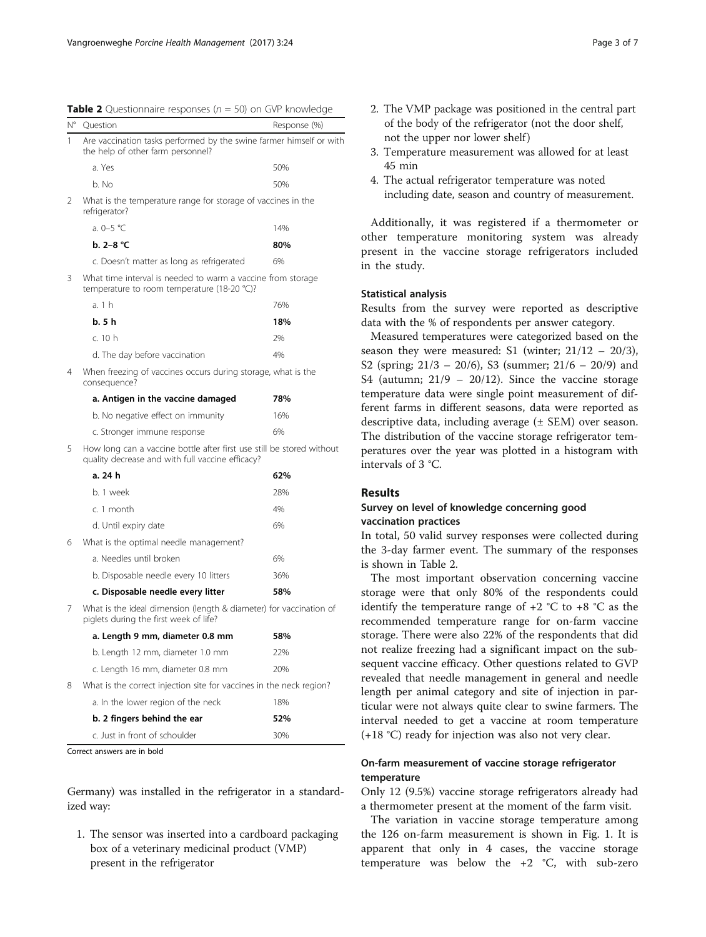<span id="page-2-0"></span>

| <b>Table 2</b> Questionnaire responses ( $n = 50$ ) on GVP knowledge |  |  |
|----------------------------------------------------------------------|--|--|
|----------------------------------------------------------------------|--|--|

| $N^{\circ}$                                                                        | Question                                                                                                             | Response (%) |
|------------------------------------------------------------------------------------|----------------------------------------------------------------------------------------------------------------------|--------------|
| 1                                                                                  | Are vaccination tasks performed by the swine farmer himself or with<br>the help of other farm personnel?             |              |
|                                                                                    | a. Yes                                                                                                               | 50%          |
|                                                                                    | b. No                                                                                                                | 50%          |
| What is the temperature range for storage of vaccines in the<br>2<br>refrigerator? |                                                                                                                      |              |
|                                                                                    | a. $0 - 5$ °C.                                                                                                       | 14%          |
|                                                                                    | b. 2–8 $^{\circ}$ C                                                                                                  | 80%          |
|                                                                                    | c. Doesn't matter as long as refrigerated                                                                            | 6%           |
| 3                                                                                  | What time interval is needed to warm a vaccine from storage<br>temperature to room temperature (18-20 $^{\circ}$ C)? |              |
|                                                                                    | a. 1 h                                                                                                               | 76%          |
|                                                                                    | b. 5 h                                                                                                               | 18%          |
|                                                                                    | c. 10 h                                                                                                              | 2%           |

| <u>. IVII</u>                 | $\sim$ $\prime$ |
|-------------------------------|-----------------|
| d. The day before vaccination | 4%              |
|                               |                 |

When freezing of vaccines occurs during storage, what is the consequence?

| a. Antigen in the vaccine damaged |     |
|-----------------------------------|-----|
| b. No negative effect on immunity | 16% |
| c. Stronger immune response       | 6%  |

5 How long can a vaccine bottle after first use still be stored without quality decrease and with full vaccine efficacy?

|    | a. 24 h                                | 62% |
|----|----------------------------------------|-----|
|    | b. 1 week                              | 28% |
|    | $c1$ month                             | 4%  |
|    | d. Until expiry date                   | 6%  |
| 6. | What is the optimal needle management? |     |
|    | a Needles until broken                 | 6%  |
|    | b. Disposable needle every 10 litters  | 36% |
|    | c. Disposable needle every litter      | 58% |

What is the ideal dimension (length & diameter) for vaccination of piglets during the first week of life?

|   | a. Length 9 mm, diameter 0.8 mm                                     | 58% |  |
|---|---------------------------------------------------------------------|-----|--|
|   | b. Length 12 mm, diameter 1.0 mm                                    | 22% |  |
|   | c. Length 16 mm, diameter 0.8 mm                                    | 20% |  |
| 8 | What is the correct injection site for vaccines in the neck region? |     |  |
|   | a. In the lower region of the neck                                  | 18% |  |
|   | b. 2 fingers behind the ear                                         | 52% |  |
|   | c. Just in front of schoulder                                       | 30% |  |
|   |                                                                     |     |  |

Correct answers are in bold

Germany) was installed in the refrigerator in a standardized way:

1. The sensor was inserted into a cardboard packaging box of a veterinary medicinal product (VMP) present in the refrigerator

- 2. The VMP package was positioned in the central part of the body of the refrigerator (not the door shelf, not the upper nor lower shelf )
- 3. Temperature measurement was allowed for at least 45 min
- 4. The actual refrigerator temperature was noted including date, season and country of measurement.

Additionally, it was registered if a thermometer or other temperature monitoring system was already present in the vaccine storage refrigerators included in the study.

## Statistical analysis

Results from the survey were reported as descriptive data with the % of respondents per answer category.

Measured temperatures were categorized based on the season they were measured: S1 (winter;  $21/12 - 20/3$ ), S2 (spring;  $21/3 - 20/6$ ), S3 (summer;  $21/6 - 20/9$ ) and S4 (autumn; 21/9 – 20/12). Since the vaccine storage temperature data were single point measurement of different farms in different seasons, data were reported as descriptive data, including average (± SEM) over season. The distribution of the vaccine storage refrigerator temperatures over the year was plotted in a histogram with intervals of 3 °C.

## **Results**

# Survey on level of knowledge concerning good vaccination practices

In total, 50 valid survey responses were collected during the 3-day farmer event. The summary of the responses is shown in Table 2.

The most important observation concerning vaccine storage were that only 80% of the respondents could identify the temperature range of  $+2$  °C to  $+8$  °C as the recommended temperature range for on-farm vaccine storage. There were also 22% of the respondents that did not realize freezing had a significant impact on the subsequent vaccine efficacy. Other questions related to GVP revealed that needle management in general and needle length per animal category and site of injection in particular were not always quite clear to swine farmers. The interval needed to get a vaccine at room temperature (+18 °C) ready for injection was also not very clear.

# On-farm measurement of vaccine storage refrigerator temperature

Only 12 (9.5%) vaccine storage refrigerators already had a thermometer present at the moment of the farm visit.

The variation in vaccine storage temperature among the 126 on-farm measurement is shown in Fig. [1](#page-3-0). It is apparent that only in 4 cases, the vaccine storage temperature was below the  $+2$  °C, with sub-zero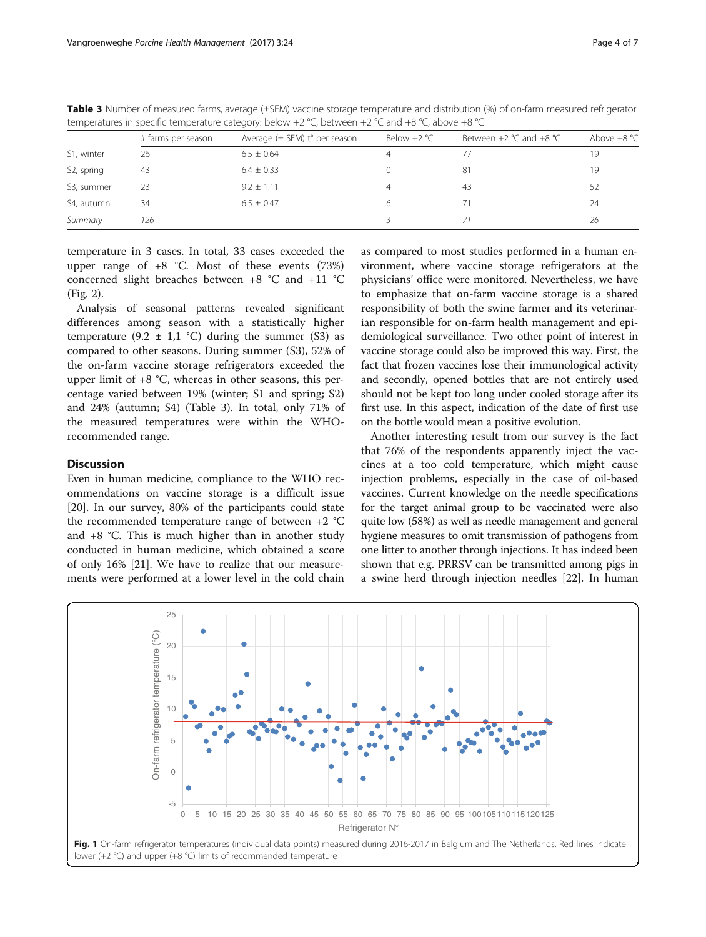|            | # farms per season | Average $(\pm$ SEM) t° per season | Below $+2$ °C | Between $+2$ °C and $+8$ °C | Above $+8 °C$ |
|------------|--------------------|-----------------------------------|---------------|-----------------------------|---------------|
| S1, winter | 26                 | $6.5 \pm 0.64$                    |               |                             | 19            |
| S2, spring | 43                 | $6.4 \pm 0.33$                    |               | 81                          | 19            |
| S3, summer | 23                 | $9.2 \pm 1.11$                    | 4             | 43                          | 52            |
| S4, autumn | 34                 | $6.5 \pm 0.47$                    | 6             |                             | 24            |
| Summary    | 126                |                                   |               | 71                          | 26            |

<span id="page-3-0"></span>Table 3 Number of measured farms, average (±SEM) vaccine storage temperature and distribution (%) of on-farm measured refrigerator temperatures in specific temperature category: below +2 °C, between +2 °C and +8 °C, above +8 °C

temperature in 3 cases. In total, 33 cases exceeded the upper range of  $+8$  °C. Most of these events (73%) concerned slight breaches between +8 °C and +11 °C (Fig. [2](#page-4-0)).

Analysis of seasonal patterns revealed significant differences among season with a statistically higher temperature (9.2  $\pm$  1,1 °C) during the summer (S3) as compared to other seasons. During summer (S3), 52% of the on-farm vaccine storage refrigerators exceeded the upper limit of  $+8$  °C, whereas in other seasons, this percentage varied between 19% (winter; S1 and spring; S2) and 24% (autumn; S4) (Table 3). In total, only 71% of the measured temperatures were within the WHOrecommended range.

# **Discussion**

Even in human medicine, compliance to the WHO recommendations on vaccine storage is a difficult issue [[20\]](#page-6-0). In our survey, 80% of the participants could state the recommended temperature range of between +2 °C and +8 °C. This is much higher than in another study conducted in human medicine, which obtained a score of only 16% [\[21](#page-6-0)]. We have to realize that our measurements were performed at a lower level in the cold chain as compared to most studies performed in a human environment, where vaccine storage refrigerators at the physicians' office were monitored. Nevertheless, we have to emphasize that on-farm vaccine storage is a shared responsibility of both the swine farmer and its veterinarian responsible for on-farm health management and epidemiological surveillance. Two other point of interest in vaccine storage could also be improved this way. First, the fact that frozen vaccines lose their immunological activity and secondly, opened bottles that are not entirely used should not be kept too long under cooled storage after its first use. In this aspect, indication of the date of first use on the bottle would mean a positive evolution.

Another interesting result from our survey is the fact that 76% of the respondents apparently inject the vaccines at a too cold temperature, which might cause injection problems, especially in the case of oil-based vaccines. Current knowledge on the needle specifications for the target animal group to be vaccinated were also quite low (58%) as well as needle management and general hygiene measures to omit transmission of pathogens from one litter to another through injections. It has indeed been shown that e.g. PRRSV can be transmitted among pigs in a swine herd through injection needles [[22](#page-6-0)]. In human

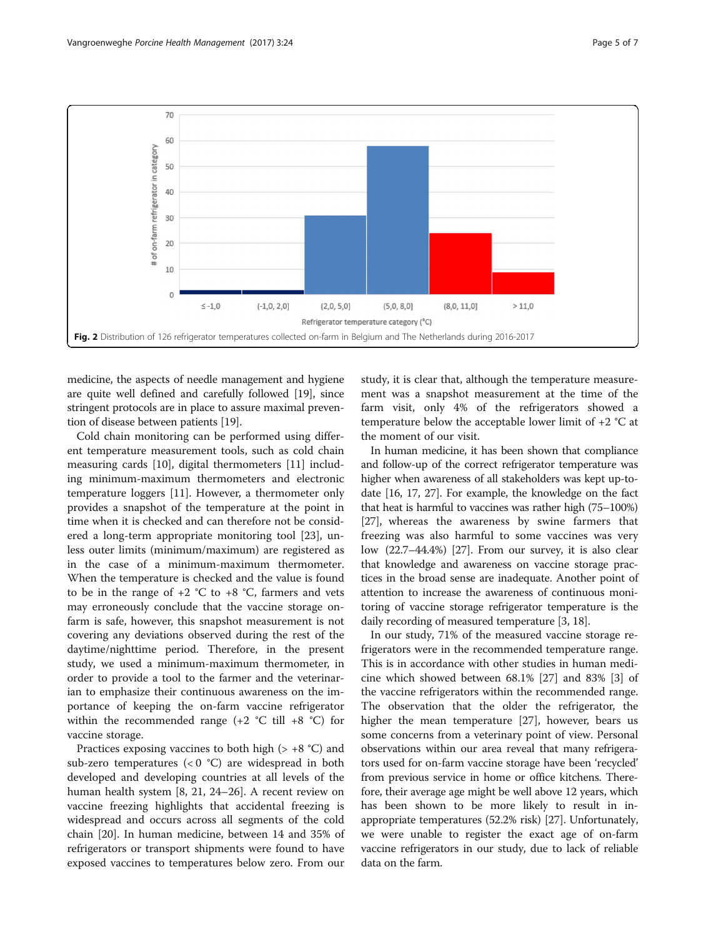<span id="page-4-0"></span>

medicine, the aspects of needle management and hygiene are quite well defined and carefully followed [\[19\]](#page-6-0), since stringent protocols are in place to assure maximal prevention of disease between patients [\[19\]](#page-6-0).

Cold chain monitoring can be performed using different temperature measurement tools, such as cold chain measuring cards [[10\]](#page-6-0), digital thermometers [[11](#page-6-0)] including minimum-maximum thermometers and electronic temperature loggers [\[11](#page-6-0)]. However, a thermometer only provides a snapshot of the temperature at the point in time when it is checked and can therefore not be considered a long-term appropriate monitoring tool [[23\]](#page-6-0), unless outer limits (minimum/maximum) are registered as in the case of a minimum-maximum thermometer. When the temperature is checked and the value is found to be in the range of  $+2$  °C to  $+8$  °C, farmers and vets may erroneously conclude that the vaccine storage onfarm is safe, however, this snapshot measurement is not covering any deviations observed during the rest of the daytime/nighttime period. Therefore, in the present study, we used a minimum-maximum thermometer, in order to provide a tool to the farmer and the veterinarian to emphasize their continuous awareness on the importance of keeping the on-farm vaccine refrigerator within the recommended range  $(+2 \degree C \text{ till } +8 \degree C)$  for vaccine storage.

Practices exposing vaccines to both high  $(> +8 °C)$  and sub-zero temperatures  $( $0$  °C)$  are widespread in both developed and developing countries at all levels of the human health system [\[8](#page-6-0), [21](#page-6-0), [24](#page-6-0)–[26](#page-6-0)]. A recent review on vaccine freezing highlights that accidental freezing is widespread and occurs across all segments of the cold chain [[20\]](#page-6-0). In human medicine, between 14 and 35% of refrigerators or transport shipments were found to have exposed vaccines to temperatures below zero. From our

study, it is clear that, although the temperature measurement was a snapshot measurement at the time of the farm visit, only 4% of the refrigerators showed a temperature below the acceptable lower limit of +2 °C at the moment of our visit.

In human medicine, it has been shown that compliance and follow-up of the correct refrigerator temperature was higher when awareness of all stakeholders was kept up-todate [\[16](#page-6-0), [17, 27\]](#page-6-0). For example, the knowledge on the fact that heat is harmful to vaccines was rather high (75–100%) [[27](#page-6-0)], whereas the awareness by swine farmers that freezing was also harmful to some vaccines was very low (22.7–44.4%) [\[27\]](#page-6-0). From our survey, it is also clear that knowledge and awareness on vaccine storage practices in the broad sense are inadequate. Another point of attention to increase the awareness of continuous monitoring of vaccine storage refrigerator temperature is the daily recording of measured temperature [[3,](#page-5-0) [18\]](#page-6-0).

In our study, 71% of the measured vaccine storage refrigerators were in the recommended temperature range. This is in accordance with other studies in human medicine which showed between 68.1% [\[27\]](#page-6-0) and 83% [\[3](#page-5-0)] of the vaccine refrigerators within the recommended range. The observation that the older the refrigerator, the higher the mean temperature [[27\]](#page-6-0), however, bears us some concerns from a veterinary point of view. Personal observations within our area reveal that many refrigerators used for on-farm vaccine storage have been 'recycled' from previous service in home or office kitchens. Therefore, their average age might be well above 12 years, which has been shown to be more likely to result in inappropriate temperatures (52.2% risk) [[27](#page-6-0)]. Unfortunately, we were unable to register the exact age of on-farm vaccine refrigerators in our study, due to lack of reliable data on the farm.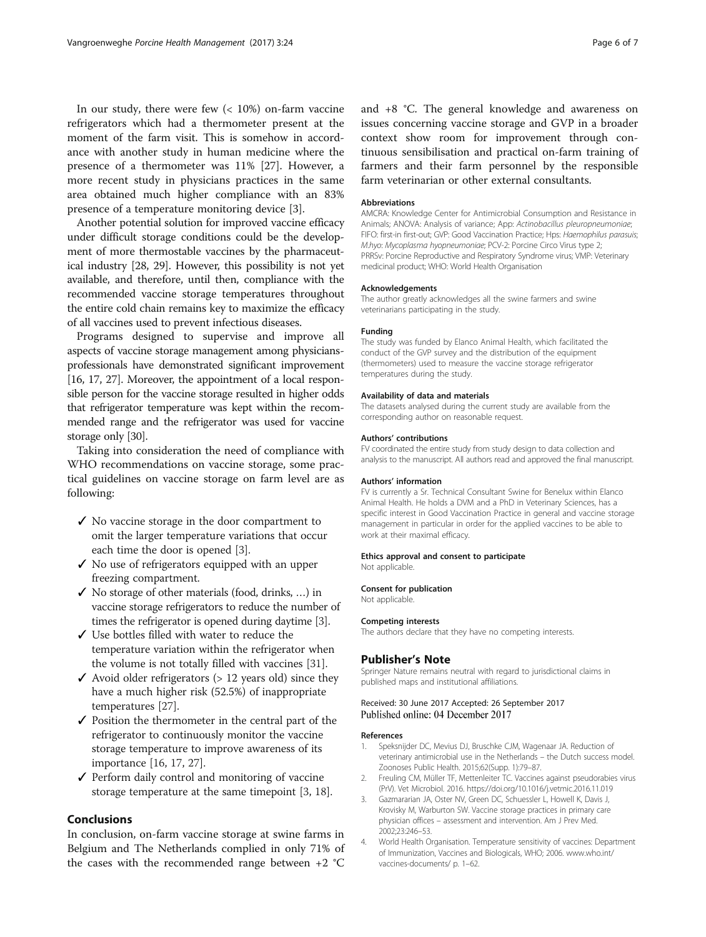<span id="page-5-0"></span>In our study, there were few  $(< 10\%)$  on-farm vaccine refrigerators which had a thermometer present at the moment of the farm visit. This is somehow in accordance with another study in human medicine where the presence of a thermometer was 11% [\[27\]](#page-6-0). However, a more recent study in physicians practices in the same area obtained much higher compliance with an 83% presence of a temperature monitoring device [3].

Another potential solution for improved vaccine efficacy under difficult storage conditions could be the development of more thermostable vaccines by the pharmaceutical industry [[28, 29](#page-6-0)]. However, this possibility is not yet available, and therefore, until then, compliance with the recommended vaccine storage temperatures throughout the entire cold chain remains key to maximize the efficacy of all vaccines used to prevent infectious diseases.

Programs designed to supervise and improve all aspects of vaccine storage management among physiciansprofessionals have demonstrated significant improvement [[16](#page-6-0), [17](#page-6-0), [27\]](#page-6-0). Moreover, the appointment of a local responsible person for the vaccine storage resulted in higher odds that refrigerator temperature was kept within the recommended range and the refrigerator was used for vaccine storage only [\[30\]](#page-6-0).

Taking into consideration the need of compliance with WHO recommendations on vaccine storage, some practical guidelines on vaccine storage on farm level are as following:

- ✓ No vaccine storage in the door compartment to omit the larger temperature variations that occur each time the door is opened [3].
- $\checkmark$  No use of refrigerators equipped with an upper freezing compartment.
- $\checkmark$  No storage of other materials (food, drinks, ...) in vaccine storage refrigerators to reduce the number of times the refrigerator is opened during daytime [3].
- ✓ Use bottles filled with water to reduce the temperature variation within the refrigerator when the volume is not totally filled with vaccines [[31](#page-6-0)].
- $\checkmark$  Avoid older refrigerators ( $> 12$  years old) since they have a much higher risk (52.5%) of inappropriate temperatures [[27](#page-6-0)].
- $\checkmark$  Position the thermometer in the central part of the refrigerator to continuously monitor the vaccine storage temperature to improve awareness of its importance [\[16](#page-6-0), [17,](#page-6-0) [27](#page-6-0)].
- ✓ Perform daily control and monitoring of vaccine storage temperature at the same timepoint [3, [18](#page-6-0)].

## Conclusions

In conclusion, on-farm vaccine storage at swine farms in Belgium and The Netherlands complied in only 71% of the cases with the recommended range between +2 °C

and +8 °C. The general knowledge and awareness on issues concerning vaccine storage and GVP in a broader context show room for improvement through continuous sensibilisation and practical on-farm training of farmers and their farm personnel by the responsible farm veterinarian or other external consultants.

#### Abbreviations

AMCRA: Knowledge Center for Antimicrobial Consumption and Resistance in Animals; ANOVA: Analysis of variance; App: Actinobacillus pleuropneumoniae; FIFO: first-in first-out; GVP: Good Vaccination Practice; Hps: Haemophilus parasuis; M.hyo: Mycoplasma hyopneumoniae; PCV-2: Porcine Circo Virus type 2; PRRSv: Porcine Reproductive and Respiratory Syndrome virus; VMP: Veterinary medicinal product; WHO: World Health Organisation

#### Acknowledgements

The author greatly acknowledges all the swine farmers and swine veterinarians participating in the study.

#### Funding

The study was funded by Elanco Animal Health, which facilitated the conduct of the GVP survey and the distribution of the equipment (thermometers) used to measure the vaccine storage refrigerator temperatures during the study.

#### Availability of data and materials

The datasets analysed during the current study are available from the corresponding author on reasonable request.

#### Authors' contributions

FV coordinated the entire study from study design to data collection and analysis to the manuscript. All authors read and approved the final manuscript.

#### Authors' information

FV is currently a Sr. Technical Consultant Swine for Benelux within Elanco Animal Health. He holds a DVM and a PhD in Veterinary Sciences, has a specific interest in Good Vaccination Practice in general and vaccine storage management in particular in order for the applied vaccines to be able to work at their maximal efficacy.

#### Ethics approval and consent to participate

Not applicable.

# Consent for publication

Not applicable.

## Competing interests

The authors declare that they have no competing interests.

# Publisher's Note

Springer Nature remains neutral with regard to jurisdictional claims in published maps and institutional affiliations.

## Received: 30 June 2017 Accepted: 26 September 2017 Published online: 04 December 2017

#### References

- 1. Speksnijder DC, Mevius DJ, Bruschke CJM, Wagenaar JA. Reduction of veterinary antimicrobial use in the Netherlands – the Dutch success model. Zoonoses Public Health. 2015;62(Supp. 1):79–87.
- 2. Freuling CM, Müller TF, Mettenleiter TC. Vaccines against pseudorabies virus (PrV). Vet Microbiol. 2016. [https://doi.org/10.1016/j.vetmic.2016.11.019](http://dx.doi.org/10.1016/j.vetmic.2016.11.019)
- 3. Gazmararian JA, Oster NV, Green DC, Schuessler L, Howell K, Davis J, Krovisky M, Warburton SW. Vaccine storage practices in primary care physician offices – assessment and intervention. Am J Prev Med. 2002;23:246–53.
- 4. World Health Organisation. Temperature sensitivity of vaccines: Department of Immunization, Vaccines and Biologicals, WHO; 2006. [www.who.int/](http://www.who.int/vaccines-documents/) [vaccines-documents/](http://www.who.int/vaccines-documents/) p. 1–62.